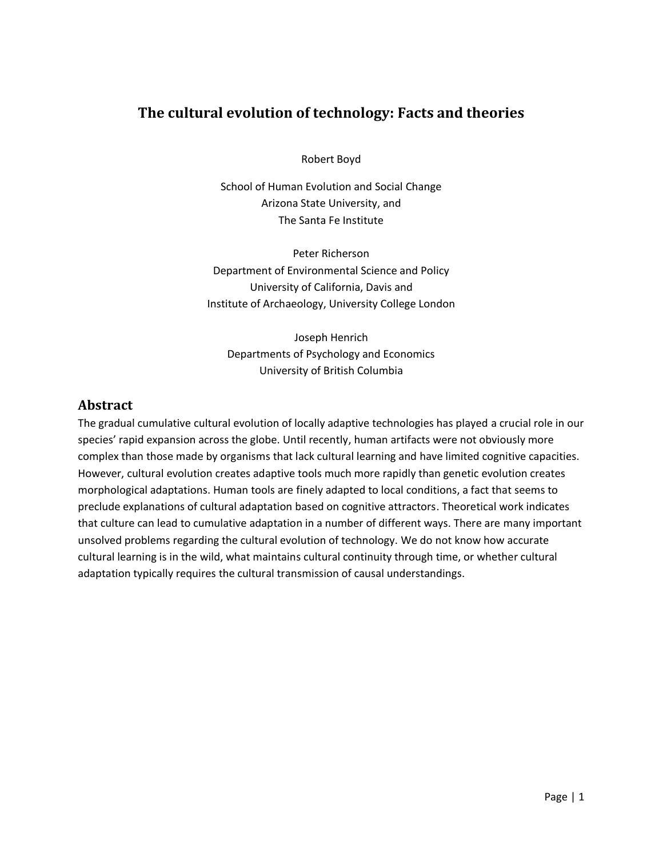# **The cultural evolution of technology: Facts and theories**

Robert Boyd

School of Human Evolution and Social Change Arizona State University, and The Santa Fe Institute

Peter Richerson Department of Environmental Science and Policy University of California, Davis and Institute of Archaeology, University College London

Joseph Henrich Departments of Psychology and Economics University of British Columbia

## **Abstract**

The gradual cumulative cultural evolution of locally adaptive technologies has played a crucial role in our species' rapid expansion across the globe. Until recently, human artifacts were not obviously more complex than those made by organisms that lack cultural learning and have limited cognitive capacities. However, cultural evolution creates adaptive tools much more rapidly than genetic evolution creates morphological adaptations. Human tools are finely adapted to local conditions, a fact that seems to preclude explanations of cultural adaptation based on cognitive attractors. Theoretical work indicates that culture can lead to cumulative adaptation in a number of different ways. There are many important unsolved problems regarding the cultural evolution of technology. We do not know how accurate cultural learning is in the wild, what maintains cultural continuity through time, or whether cultural adaptation typically requires the cultural transmission of causal understandings.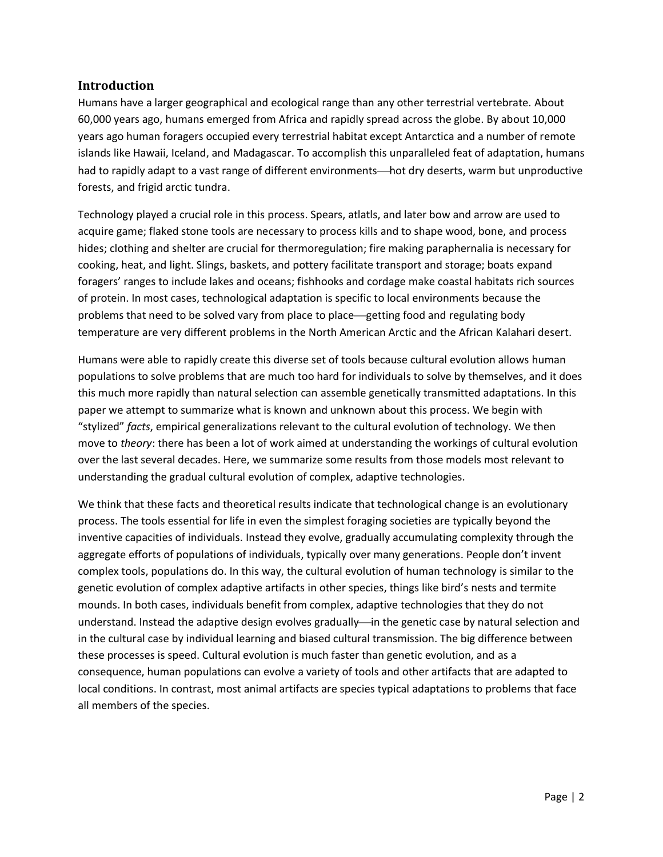### **Introduction**

Humans have a larger geographical and ecological range than any other terrestrial vertebrate. About 60,000 years ago, humans emerged from Africa and rapidly spread across the globe. By about 10,000 years ago human foragers occupied every terrestrial habitat except Antarctica and a number of remote islands like Hawaii, Iceland, and Madagascar. To accomplish this unparalleled feat of adaptation, humans had to rapidly adapt to a vast range of different environments—hot dry deserts, warm but unproductive forests, and frigid arctic tundra.

Technology played a crucial role in this process. Spears, atlatls, and later bow and arrow are used to acquire game; flaked stone tools are necessary to process kills and to shape wood, bone, and process hides; clothing and shelter are crucial for thermoregulation; fire making paraphernalia is necessary for cooking, heat, and light. Slings, baskets, and pottery facilitate transport and storage; boats expand foragers' ranges to include lakes and oceans; fishhooks and cordage make coastal habitats rich sources of protein. In most cases, technological adaptation is specific to local environments because the problems that need to be solved vary from place to place—getting food and regulating body temperature are very different problems in the North American Arctic and the African Kalahari desert.

Humans were able to rapidly create this diverse set of tools because cultural evolution allows human populations to solve problems that are much too hard for individuals to solve by themselves, and it does this much more rapidly than natural selection can assemble genetically transmitted adaptations. In this paper we attempt to summarize what is known and unknown about this process. We begin with "stylized" *facts*, empirical generalizations relevant to the cultural evolution of technology. We then move to *theory*: there has been a lot of work aimed at understanding the workings of cultural evolution over the last several decades. Here, we summarize some results from those models most relevant to understanding the gradual cultural evolution of complex, adaptive technologies.

We think that these facts and theoretical results indicate that technological change is an evolutionary process. The tools essential for life in even the simplest foraging societies are typically beyond the inventive capacities of individuals. Instead they evolve, gradually accumulating complexity through the aggregate efforts of populations of individuals, typically over many generations. People don't invent complex tools, populations do. In this way, the cultural evolution of human technology is similar to the genetic evolution of complex adaptive artifacts in other species, things like bird's nests and termite mounds. In both cases, individuals benefit from complex, adaptive technologies that they do not understand. Instead the adaptive design evolves gradually—in the genetic case by natural selection and in the cultural case by individual learning and biased cultural transmission. The big difference between these processes is speed. Cultural evolution is much faster than genetic evolution, and as a consequence, human populations can evolve a variety of tools and other artifacts that are adapted to local conditions. In contrast, most animal artifacts are species typical adaptations to problems that face all members of the species.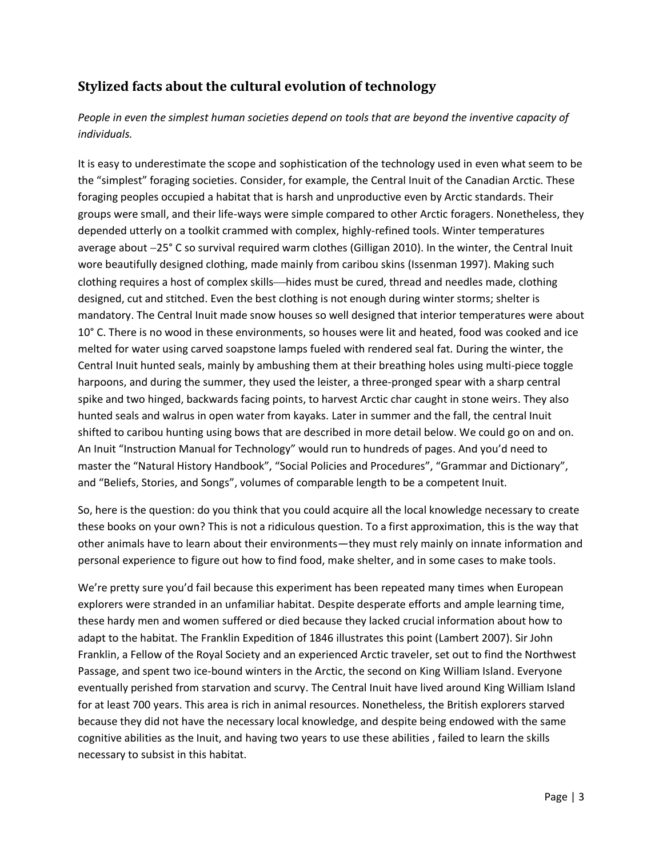# **Stylized facts about the cultural evolution of technology**

*People in even the simplest human societies depend on tools that are beyond the inventive capacity of individuals.*

It is easy to underestimate the scope and sophistication of the technology used in even what seem to be the "simplest" foraging societies. Consider, for example, the Central Inuit of the Canadian Arctic. These foraging peoples occupied a habitat that is harsh and unproductive even by Arctic standards. Their groups were small, and their life-ways were simple compared to other Arctic foragers. Nonetheless, they depended utterly on a toolkit crammed with complex, highly-refined tools. Winter temperatures average about -25° C so survival required warm clothes (Gilligan 2010). In the winter, the Central Inuit wore beautifully designed clothing, made mainly from caribou skins (Issenman 1997). Making such clothing requires a host of complex skills—hides must be cured, thread and needles made, clothing designed, cut and stitched. Even the best clothing is not enough during winter storms; shelter is mandatory. The Central Inuit made snow houses so well designed that interior temperatures were about 10° C. There is no wood in these environments, so houses were lit and heated, food was cooked and ice melted for water using carved soapstone lamps fueled with rendered seal fat. During the winter, the Central Inuit hunted seals, mainly by ambushing them at their breathing holes using multi-piece toggle harpoons, and during the summer, they used the leister, a three-pronged spear with a sharp central spike and two hinged, backwards facing points, to harvest Arctic char caught in stone weirs. They also hunted seals and walrus in open water from kayaks. Later in summer and the fall, the central Inuit shifted to caribou hunting using bows that are described in more detail below. We could go on and on. An Inuit "Instruction Manual for Technology" would run to hundreds of pages. And you'd need to master the "Natural History Handbook", "Social Policies and Procedures", "Grammar and Dictionary", and "Beliefs, Stories, and Songs", volumes of comparable length to be a competent Inuit.

So, here is the question: do you think that you could acquire all the local knowledge necessary to create these books on your own? This is not a ridiculous question. To a first approximation, this is the way that other animals have to learn about their environments—they must rely mainly on innate information and personal experience to figure out how to find food, make shelter, and in some cases to make tools.

We're pretty sure you'd fail because this experiment has been repeated many times when European explorers were stranded in an unfamiliar habitat. Despite desperate efforts and ample learning time, these hardy men and women suffered or died because they lacked crucial information about how to adapt to the habitat. The Franklin Expedition of 1846 illustrates this point (Lambert 2007). Sir John Franklin, a Fellow of the Royal Society and an experienced Arctic traveler, set out to find the Northwest Passage, and spent two ice-bound winters in the Arctic, the second on King William Island. Everyone eventually perished from starvation and scurvy. The Central Inuit have lived around King William Island for at least 700 years. This area is rich in animal resources. Nonetheless, the British explorers starved because they did not have the necessary local knowledge, and despite being endowed with the same cognitive abilities as the Inuit, and having two years to use these abilities , failed to learn the skills necessary to subsist in this habitat.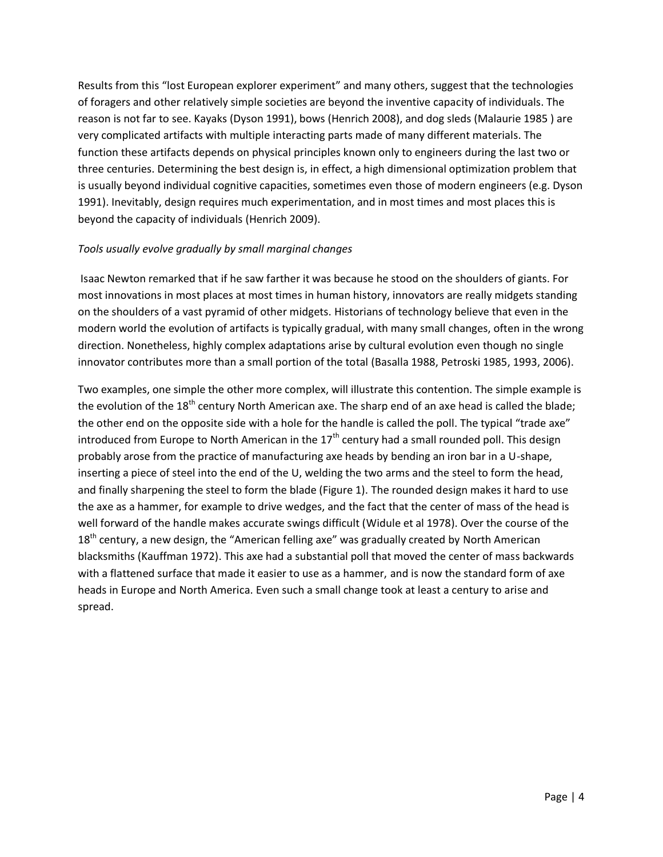Results from this "lost European explorer experiment" and many others, suggest that the technologies of foragers and other relatively simple societies are beyond the inventive capacity of individuals. The reason is not far to see. Kayaks (Dyson 1991), bows [\(Henrich 2008\)](#page-22-0), and dog sleds (Malaurie 1985 ) are very complicated artifacts with multiple interacting parts made of many different materials. The function these artifacts depends on physical principles known only to engineers during the last two or three centuries. Determining the best design is, in effect, a high dimensional optimization problem that is usually beyond individual cognitive capacities, sometimes even those of modern engineers (e.g. Dyson 1991). Inevitably, design requires much experimentation, and in most times and most places this is beyond the capacity of individuals [\(Henrich 2009\)](#page-22-1).

#### *Tools usually evolve gradually by small marginal changes*

Isaac Newton remarked that if he saw farther it was because he stood on the shoulders of giants. For most innovations in most places at most times in human history, innovators are really midgets standing on the shoulders of a vast pyramid of other midgets. Historians of technology believe that even in the modern world the evolution of artifacts is typically gradual, with many small changes, often in the wrong direction. Nonetheless, highly complex adaptations arise by cultural evolution even though no single innovator contributes more than a small portion of the total [\(Basalla 1988,](#page-24-0) [Petroski 1985,](#page-23-0) [1993,](#page-23-1) [2006\)](#page-23-2).

Two examples, one simple the other more complex, will illustrate this contention. The simple example is the evolution of the 18<sup>th</sup> century North American axe. The sharp end of an axe head is called the blade; the other end on the opposite side with a hole for the handle is called the poll. The typical "trade axe" introduced from Europe to North American in the  $17<sup>th</sup>$  century had a small rounded poll. This design probably arose from the practice of manufacturing axe heads by bending an iron bar in a U-shape, inserting a piece of steel into the end of the U, welding the two arms and the steel to form the head, and finally sharpening the steel to form the blade (Figure 1). The rounded design makes it hard to use the axe as a hammer, for example to drive wedges, and the fact that the center of mass of the head is well forward of the handle makes accurate swings difficult (Widule et al 1978). Over the course of the  $18<sup>th</sup>$  century, a new design, the "American felling axe" was gradually created by North American blacksmiths (Kauffman 1972). This axe had a substantial poll that moved the center of mass backwards with a flattened surface that made it easier to use as a hammer, and is now the standard form of axe heads in Europe and North America. Even such a small change took at least a century to arise and spread.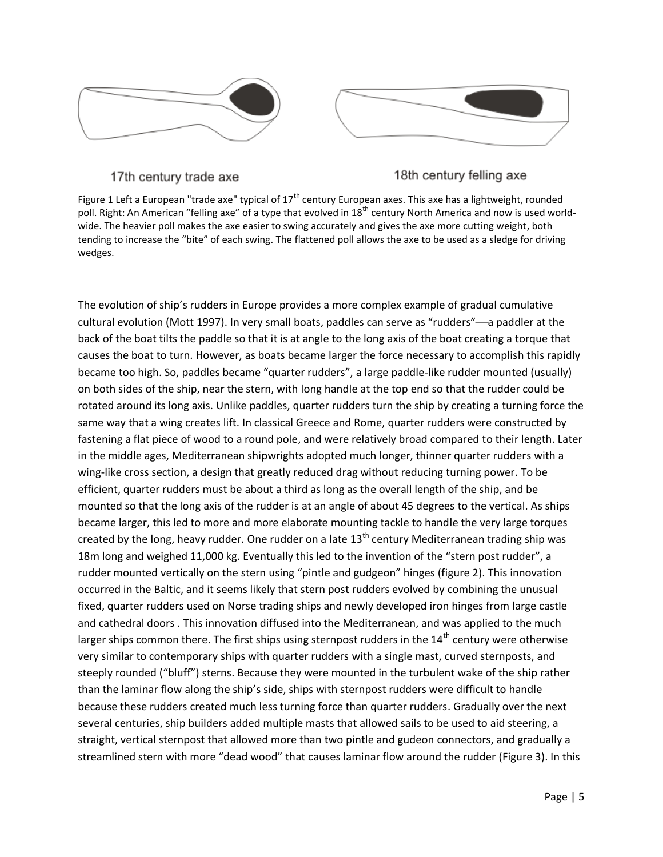



### 17th century trade axe

### 18th century felling axe

Figure 1 Left a European "trade axe" typical of 17<sup>th</sup> century European axes. This axe has a lightweight, rounded poll. Right: An American "felling axe" of a type that evolved in 18<sup>th</sup> century North America and now is used worldwide. The heavier poll makes the axe easier to swing accurately and gives the axe more cutting weight, both tending to increase the "bite" of each swing. The flattened poll allows the axe to be used as a sledge for driving wedges.

The evolution of ship's rudders in Europe provides a more complex example of gradual cumulative cultural evolution (Mott 1997). In very small boats, paddles can serve as "rudders"—a paddler at the back of the boat tilts the paddle so that it is at angle to the long axis of the boat creating a torque that causes the boat to turn. However, as boats became larger the force necessary to accomplish this rapidly became too high. So, paddles became "quarter rudders", a large paddle-like rudder mounted (usually) on both sides of the ship, near the stern, with long handle at the top end so that the rudder could be rotated around its long axis. Unlike paddles, quarter rudders turn the ship by creating a turning force the same way that a wing creates lift. In classical Greece and Rome, quarter rudders were constructed by fastening a flat piece of wood to a round pole, and were relatively broad compared to their length. Later in the middle ages, Mediterranean shipwrights adopted much longer, thinner quarter rudders with a wing-like cross section, a design that greatly reduced drag without reducing turning power. To be efficient, quarter rudders must be about a third as long as the overall length of the ship, and be mounted so that the long axis of the rudder is at an angle of about 45 degrees to the vertical. As ships became larger, this led to more and more elaborate mounting tackle to handle the very large torques created by the long, heavy rudder. One rudder on a late  $13<sup>th</sup>$  century Mediterranean trading ship was 18m long and weighed 11,000 kg. Eventually this led to the invention of the "stern post rudder", a rudder mounted vertically on the stern using "pintle and gudgeon" hinges (figure 2). This innovation occurred in the Baltic, and it seems likely that stern post rudders evolved by combining the unusual fixed, quarter rudders used on Norse trading ships and newly developed iron hinges from large castle and cathedral doors . This innovation diffused into the Mediterranean, and was applied to the much larger ships common there. The first ships using sternpost rudders in the 14<sup>th</sup> century were otherwise very similar to contemporary ships with quarter rudders with a single mast, curved sternposts, and steeply rounded ("bluff") sterns. Because they were mounted in the turbulent wake of the ship rather than the laminar flow along the ship's side, ships with sternpost rudders were difficult to handle because these rudders created much less turning force than quarter rudders. Gradually over the next several centuries, ship builders added multiple masts that allowed sails to be used to aid steering, a straight, vertical sternpost that allowed more than two pintle and gudeon connectors, and gradually a streamlined stern with more "dead wood" that causes laminar flow around the rudder (Figure 3). In this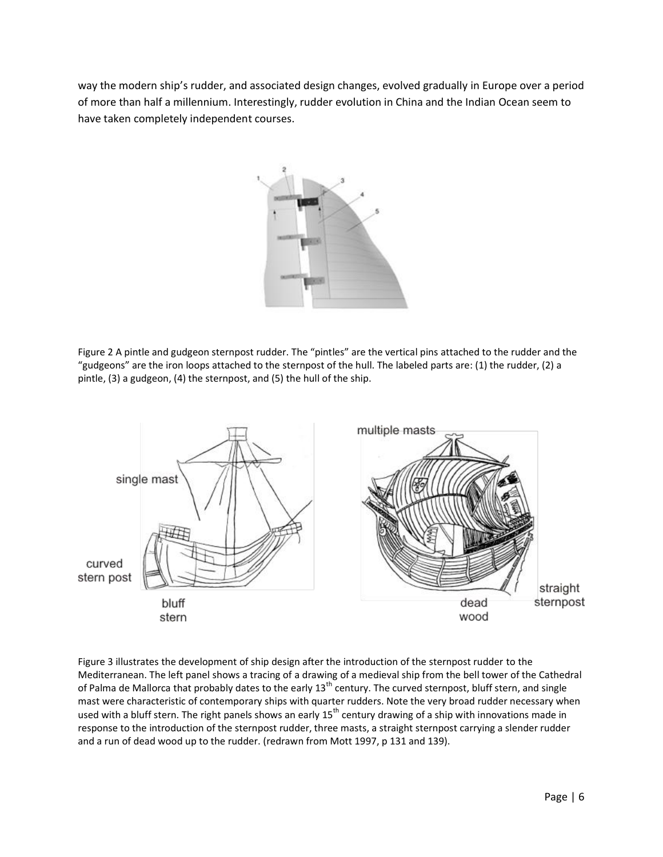way the modern ship's rudder, and associated design changes, evolved gradually in Europe over a period of more than half a millennium. Interestingly, rudder evolution in China and the Indian Ocean seem to have taken completely independent courses.



Figure 2 A pintle and gudgeon sternpost rudder. The "pintles" are the vertical pins attached to the rudder and the "gudgeons" are the iron loops attached to the sternpost of the hull. The labeled parts are: (1) the rudder, (2) a pintle, (3) a gudgeon, (4) the sternpost, and (5) the hull of the ship.



Figure 3 illustrates the development of ship design after the introduction of the sternpost rudder to the Mediterranean. The left panel shows a tracing of a drawing of a medieval ship from the bell tower of the Cathedral of Palma de Mallorca that probably dates to the early 13<sup>th</sup> century. The curved sternpost, bluff stern, and single mast were characteristic of contemporary ships with quarter rudders. Note the very broad rudder necessary when used with a bluff stern. The right panels shows an early 15<sup>th</sup> century drawing of a ship with innovations made in response to the introduction of the sternpost rudder, three masts, a straight sternpost carrying a slender rudder and a run of dead wood up to the rudder. (redrawn from Mott 1997, p 131 and 139).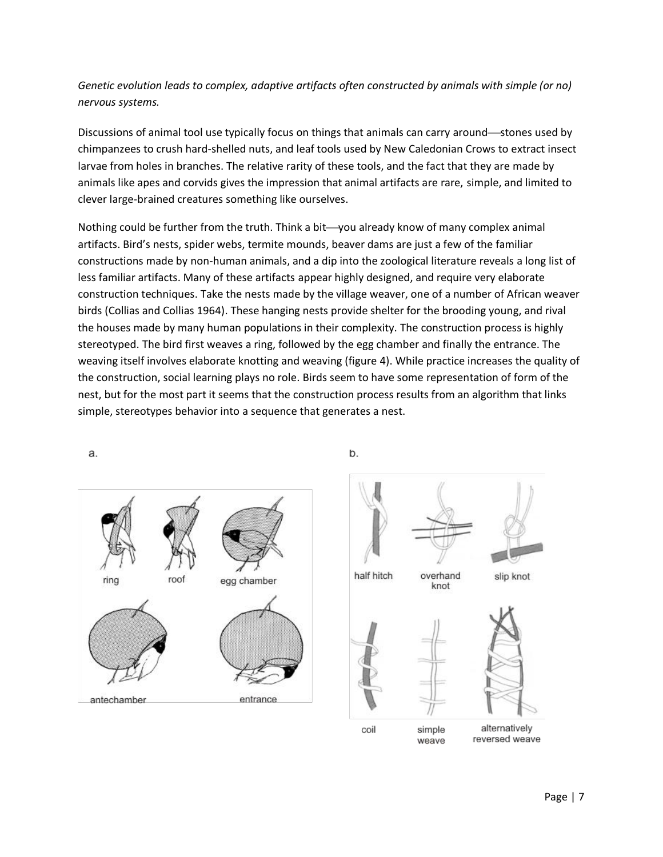*Genetic evolution leads to complex, adaptive artifacts often constructed by animals with simple (or no) nervous systems.*

Discussions of animal tool use typically focus on things that animals can carry around—stones used by chimpanzees to crush hard-shelled nuts, and leaf tools used by New Caledonian Crows to extract insect larvae from holes in branches. The relative rarity of these tools, and the fact that they are made by animals like apes and corvids gives the impression that animal artifacts are rare, simple, and limited to clever large-brained creatures something like ourselves.

Nothing could be further from the truth. Think a bit—you already know of many complex animal artifacts. Bird's nests, spider webs, termite mounds, beaver dams are just a few of the familiar constructions made by non-human animals, and a dip into the zoological literature reveals a long list of less familiar artifacts. Many of these artifacts appear highly designed, and require very elaborate construction techniques. Take the nests made by the village weaver, one of a number of African weaver birds (Collias and Collias 1964). These hanging nests provide shelter for the brooding young, and rival the houses made by many human populations in their complexity. The construction process is highly stereotyped. The bird first weaves a ring, followed by the egg chamber and finally the entrance. The weaving itself involves elaborate knotting and weaving (figure 4). While practice increases the quality of the construction, social learning plays no role. Birds seem to have some representation of form of the nest, but for the most part it seems that the construction process results from an algorithm that links simple, stereotypes behavior into a sequence that generates a nest.

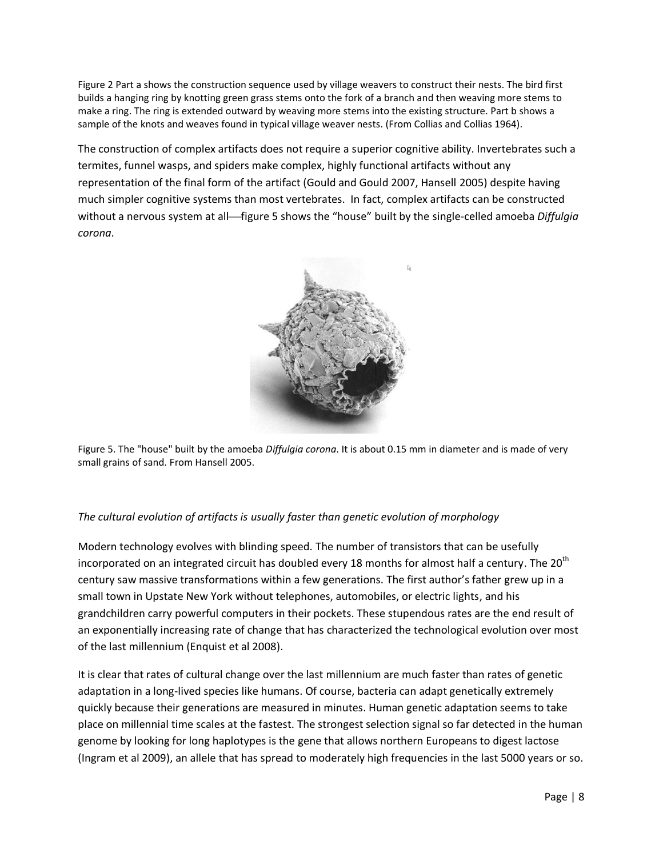Figure 2 Part a shows the construction sequence used by village weavers to construct their nests. The bird first builds a hanging ring by knotting green grass stems onto the fork of a branch and then weaving more stems to make a ring. The ring is extended outward by weaving more stems into the existing structure. Part b shows a sample of the knots and weaves found in typical village weaver nests. (From Collias and Collias 1964).

The construction of complex artifacts does not require a superior cognitive ability. Invertebrates such a termites, funnel wasps, and spiders make complex, highly functional artifacts without any representation of the final form of the artifact (Gould and Gould 2007, Hansell 2005) despite having much simpler cognitive systems than most vertebrates. In fact, complex artifacts can be constructed without a nervous system at all—figure 5 shows the "house" built by the single-celled amoeba *Diffulgia corona*.



Figure 5. The "house" built by the amoeba *Diffulgia corona*. It is about 0.15 mm in diameter and is made of very small grains of sand. From Hansell 2005.

### *The cultural evolution of artifacts is usually faster than genetic evolution of morphology*

Modern technology evolves with blinding speed. The number of transistors that can be usefully incorporated on an integrated circuit has doubled every 18 months for almost half a century. The  $20<sup>th</sup>$ century saw massive transformations within a few generations. The first author's father grew up in a small town in Upstate New York without telephones, automobiles, or electric lights, and his grandchildren carry powerful computers in their pockets. These stupendous rates are the end result of an exponentially increasing rate of change that has characterized the technological evolution over most of the last millennium (Enquist et al 2008).

It is clear that rates of cultural change over the last millennium are much faster than rates of genetic adaptation in a long-lived species like humans. Of course, bacteria can adapt genetically extremely quickly because their generations are measured in minutes. Human genetic adaptation seems to take place on millennial time scales at the fastest. The strongest selection signal so far detected in the human genome by looking for long haplotypes is the gene that allows northern Europeans to digest lactose (Ingram et al 2009), an allele that has spread to moderately high frequencies in the last 5000 years or so.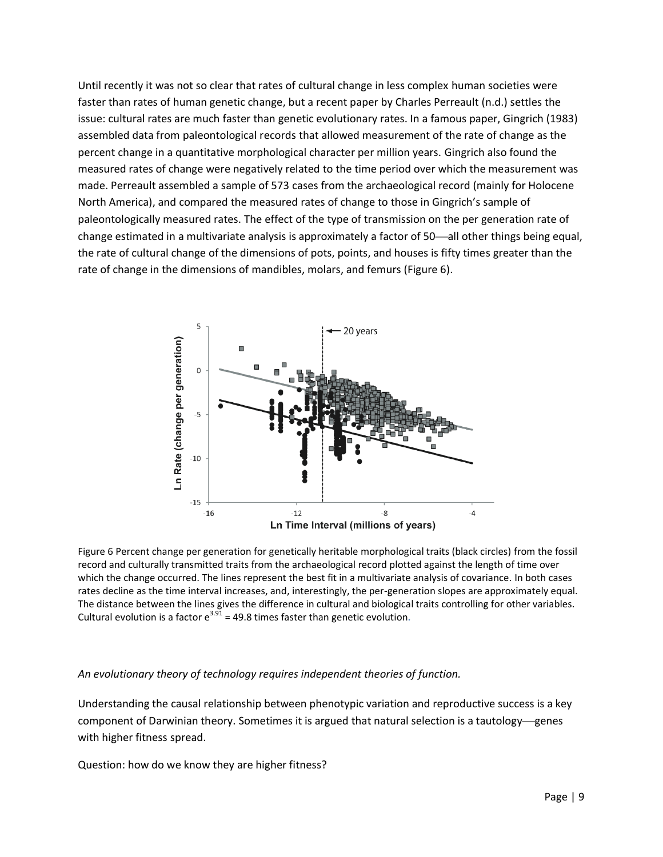Until recently it was not so clear that rates of cultural change in less complex human societies were faster than rates of human genetic change, but a recent paper by Charles Perreault (n.d.) settles the issue: cultural rates are much faster than genetic evolutionary rates. In a famous paper, Gingrich (1983) assembled data from paleontological records that allowed measurement of the rate of change as the percent change in a quantitative morphological character per million years. Gingrich also found the measured rates of change were negatively related to the time period over which the measurement was made. Perreault assembled a sample of 573 cases from the archaeological record (mainly for Holocene North America), and compared the measured rates of change to those in Gingrich's sample of paleontologically measured rates. The effect of the type of transmission on the per generation rate of change estimated in a multivariate analysis is approximately a factor of 50—all other things being equal, the rate of cultural change of the dimensions of pots, points, and houses is fifty times greater than the rate of change in the dimensions of mandibles, molars, and femurs (Figure 6).



Figure 6 Percent change per generation for genetically heritable morphological traits (black circles) from the fossil record and culturally transmitted traits from the archaeological record plotted against the length of time over which the change occurred. The lines represent the best fit in a multivariate analysis of covariance. In both cases rates decline as the time interval increases, and, interestingly, the per-generation slopes are approximately equal. The distance between the lines gives the difference in cultural and biological traits controlling for other variables. Cultural evolution is a factor e<sup>3.91</sup> = 49.8 times faster than genetic evolution.

#### *An evolutionary theory of technology requires independent theories of function.*

Understanding the causal relationship between phenotypic variation and reproductive success is a key component of Darwinian theory. Sometimes it is argued that natural selection is a tautology-genes with higher fitness spread.

Question: how do we know they are higher fitness?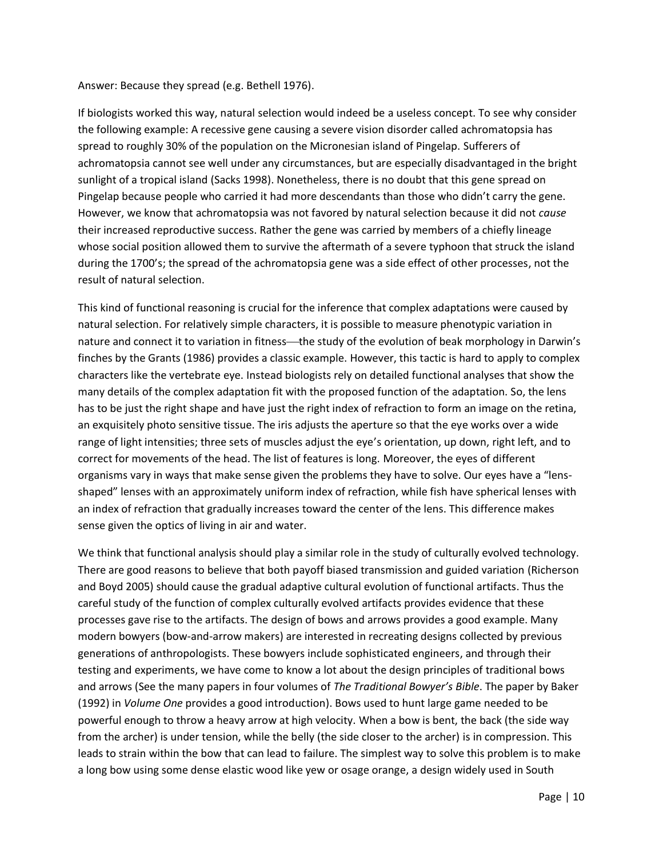Answer: Because they spread (e.g. Bethell 1976).

If biologists worked this way, natural selection would indeed be a useless concept. To see why consider the following example: A recessive gene causing a severe vision disorder called achromatopsia has spread to roughly 30% of the population on the Micronesian island of Pingelap. Sufferers of achromatopsia cannot see well under any circumstances, but are especially disadvantaged in the bright sunlight of a tropical island (Sacks 1998). Nonetheless, there is no doubt that this gene spread on Pingelap because people who carried it had more descendants than those who didn't carry the gene. However, we know that achromatopsia was not favored by natural selection because it did not *cause* their increased reproductive success. Rather the gene was carried by members of a chiefly lineage whose social position allowed them to survive the aftermath of a severe typhoon that struck the island during the 1700's; the spread of the achromatopsia gene was a side effect of other processes, not the result of natural selection.

This kind of functional reasoning is crucial for the inference that complex adaptations were caused by natural selection. For relatively simple characters, it is possible to measure phenotypic variation in nature and connect it to variation in fitness—the study of the evolution of beak morphology in Darwin's finches by the Grants (1986) provides a classic example. However, this tactic is hard to apply to complex characters like the vertebrate eye. Instead biologists rely on detailed functional analyses that show the many details of the complex adaptation fit with the proposed function of the adaptation. So, the lens has to be just the right shape and have just the right index of refraction to form an image on the retina, an exquisitely photo sensitive tissue. The iris adjusts the aperture so that the eye works over a wide range of light intensities; three sets of muscles adjust the eye's orientation, up down, right left, and to correct for movements of the head. The list of features is long. Moreover, the eyes of different organisms vary in ways that make sense given the problems they have to solve. Our eyes have a "lensshaped" lenses with an approximately uniform index of refraction, while fish have spherical lenses with an index of refraction that gradually increases toward the center of the lens. This difference makes sense given the optics of living in air and water.

We think that functional analysis should play a similar role in the study of culturally evolved technology. There are good reasons to believe that both payoff biased transmission and guided variation (Richerson and Boyd 2005) should cause the gradual adaptive cultural evolution of functional artifacts. Thus the careful study of the function of complex culturally evolved artifacts provides evidence that these processes gave rise to the artifacts. The design of bows and arrows provides a good example. Many modern bowyers (bow-and-arrow makers) are interested in recreating designs collected by previous generations of anthropologists. These bowyers include sophisticated engineers, and through their testing and experiments, we have come to know a lot about the design principles of traditional bows and arrows (See the many papers in four volumes of *The Traditional Bowyer's Bible*. The paper by Baker (1992) in *Volume One* provides a good introduction). Bows used to hunt large game needed to be powerful enough to throw a heavy arrow at high velocity. When a bow is bent, the back (the side way from the archer) is under tension, while the belly (the side closer to the archer) is in compression. This leads to strain within the bow that can lead to failure. The simplest way to solve this problem is to make a long bow using some dense elastic wood like yew or osage orange, a design widely used in South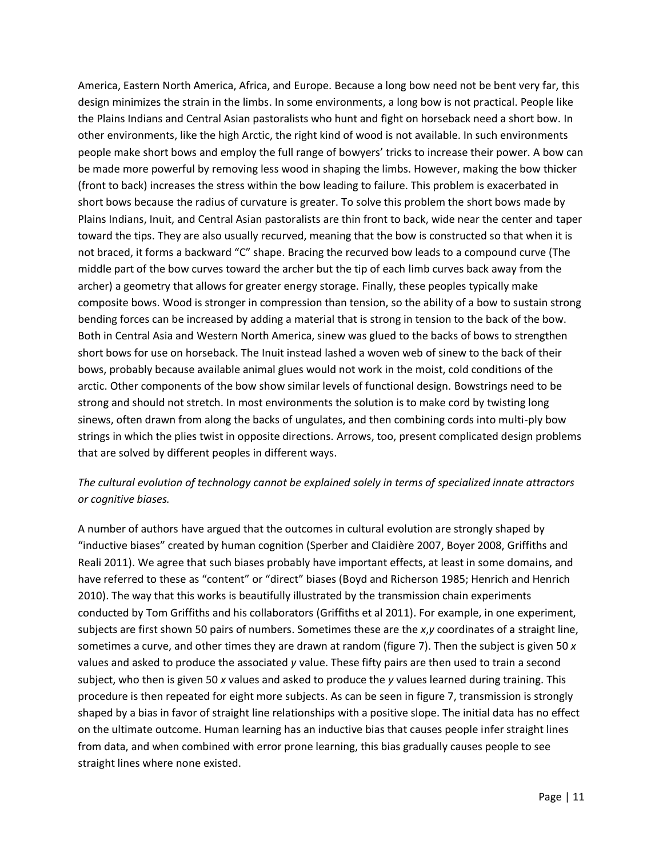America, Eastern North America, Africa, and Europe. Because a long bow need not be bent very far, this design minimizes the strain in the limbs. In some environments, a long bow is not practical. People like the Plains Indians and Central Asian pastoralists who hunt and fight on horseback need a short bow. In other environments, like the high Arctic, the right kind of wood is not available. In such environments people make short bows and employ the full range of bowyers' tricks to increase their power. A bow can be made more powerful by removing less wood in shaping the limbs. However, making the bow thicker (front to back) increases the stress within the bow leading to failure. This problem is exacerbated in short bows because the radius of curvature is greater. To solve this problem the short bows made by Plains Indians, Inuit, and Central Asian pastoralists are thin front to back, wide near the center and taper toward the tips. They are also usually recurved, meaning that the bow is constructed so that when it is not braced, it forms a backward "C" shape. Bracing the recurved bow leads to a compound curve (The middle part of the bow curves toward the archer but the tip of each limb curves back away from the archer) a geometry that allows for greater energy storage. Finally, these peoples typically make composite bows. Wood is stronger in compression than tension, so the ability of a bow to sustain strong bending forces can be increased by adding a material that is strong in tension to the back of the bow. Both in Central Asia and Western North America, sinew was glued to the backs of bows to strengthen short bows for use on horseback. The Inuit instead lashed a woven web of sinew to the back of their bows, probably because available animal glues would not work in the moist, cold conditions of the arctic. Other components of the bow show similar levels of functional design. Bowstrings need to be strong and should not stretch. In most environments the solution is to make cord by twisting long sinews, often drawn from along the backs of ungulates, and then combining cords into multi-ply bow strings in which the plies twist in opposite directions. Arrows, too, present complicated design problems that are solved by different peoples in different ways.

## *The cultural evolution of technology cannot be explained solely in terms of specialized innate attractors or cognitive biases.*

A number of authors have argued that the outcomes in cultural evolution are strongly shaped by "inductive biases" created by human cognition (Sperber and Claidière 2007, Boyer 2008, Griffiths and Reali 2011). We agree that such biases probably have important effects, at least in some domains, and have referred to these as "content" or "direct" biases (Boyd and Richerson 1985; Henrich and Henrich 2010). The way that this works is beautifully illustrated by the transmission chain experiments conducted by Tom Griffiths and his collaborators (Griffiths et al 2011). For example, in one experiment, subjects are first shown 50 pairs of numbers. Sometimes these are the *x*,*y* coordinates of a straight line, sometimes a curve, and other times they are drawn at random (figure 7). Then the subject is given 50 *x* values and asked to produce the associated *y* value. These fifty pairs are then used to train a second subject, who then is given 50 *x* values and asked to produce the *y* values learned during training. This procedure is then repeated for eight more subjects. As can be seen in figure 7, transmission is strongly shaped by a bias in favor of straight line relationships with a positive slope. The initial data has no effect on the ultimate outcome. Human learning has an inductive bias that causes people infer straight lines from data, and when combined with error prone learning, this bias gradually causes people to see straight lines where none existed.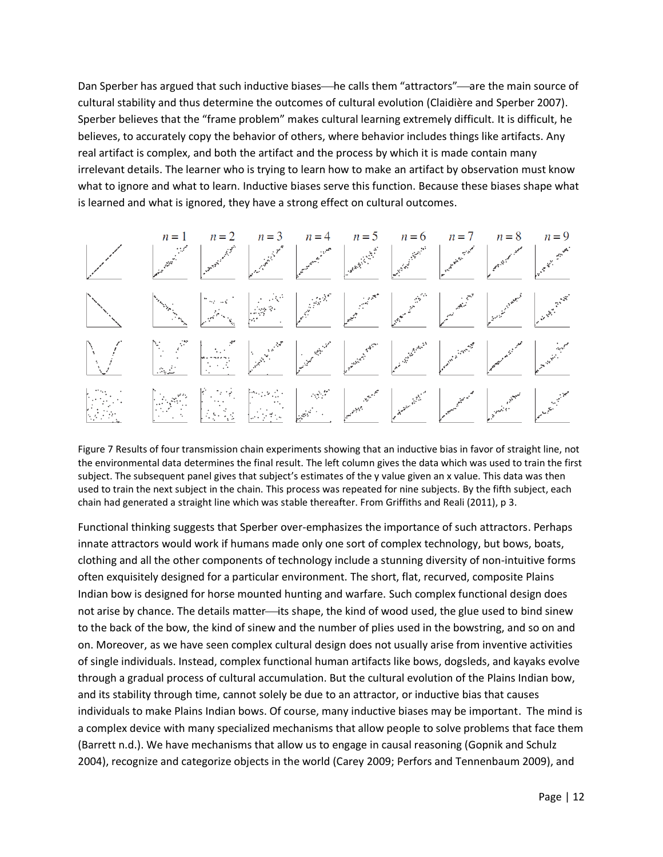Dan Sperber has argued that such inductive biases—he calls them "attractors"—are the main source of cultural stability and thus determine the outcomes of cultural evolution (Claidière and Sperber 2007). Sperber believes that the "frame problem" makes cultural learning extremely difficult. It is difficult, he believes, to accurately copy the behavior of others, where behavior includes things like artifacts. Any real artifact is complex, and both the artifact and the process by which it is made contain many irrelevant details. The learner who is trying to learn how to make an artifact by observation must know what to ignore and what to learn. Inductive biases serve this function. Because these biases shape what is learned and what is ignored, they have a strong effect on cultural outcomes.



Figure 7 Results of four transmission chain experiments showing that an inductive bias in favor of straight line, not the environmental data determines the final result. The left column gives the data which was used to train the first subject. The subsequent panel gives that subject's estimates of the y value given an x value. This data was then used to train the next subject in the chain. This process was repeated for nine subjects. By the fifth subject, each chain had generated a straight line which was stable thereafter. From Griffiths and Reali (2011), p 3.

Functional thinking suggests that Sperber over-emphasizes the importance of such attractors. Perhaps innate attractors would work if humans made only one sort of complex technology, but bows, boats, clothing and all the other components of technology include a stunning diversity of non-intuitive forms often exquisitely designed for a particular environment. The short, flat, recurved, composite Plains Indian bow is designed for horse mounted hunting and warfare. Such complex functional design does not arise by chance. The details matter-its shape, the kind of wood used, the glue used to bind sinew to the back of the bow, the kind of sinew and the number of plies used in the bowstring, and so on and on. Moreover, as we have seen complex cultural design does not usually arise from inventive activities of single individuals. Instead, complex functional human artifacts like bows, dogsleds, and kayaks evolve through a gradual process of cultural accumulation. But the cultural evolution of the Plains Indian bow, and its stability through time, cannot solely be due to an attractor, or inductive bias that causes individuals to make Plains Indian bows. Of course, many inductive biases may be important. The mind is a complex device with many specialized mechanisms that allow people to solve problems that face them (Barrett n.d.). We have mechanisms that allow us to engage in causal reasoning (Gopnik and Schulz 2004), recognize and categorize objects in the world (Carey 2009; Perfors and Tennenbaum 2009), and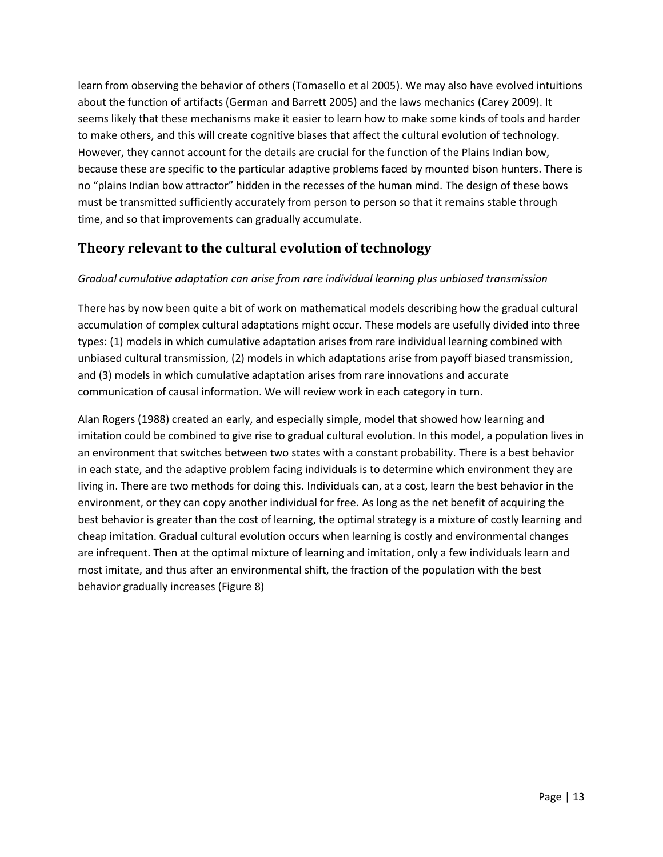learn from observing the behavior of others (Tomasello et al 2005). We may also have evolved intuitions about the function of artifacts (German and Barrett 2005) and the laws mechanics (Carey 2009). It seems likely that these mechanisms make it easier to learn how to make some kinds of tools and harder to make others, and this will create cognitive biases that affect the cultural evolution of technology. However, they cannot account for the details are crucial for the function of the Plains Indian bow, because these are specific to the particular adaptive problems faced by mounted bison hunters. There is no "plains Indian bow attractor" hidden in the recesses of the human mind. The design of these bows must be transmitted sufficiently accurately from person to person so that it remains stable through time, and so that improvements can gradually accumulate.

# **Theory relevant to the cultural evolution of technology**

## *Gradual cumulative adaptation can arise from rare individual learning plus unbiased transmission*

There has by now been quite a bit of work on mathematical models describing how the gradual cultural accumulation of complex cultural adaptations might occur. These models are usefully divided into three types: (1) models in which cumulative adaptation arises from rare individual learning combined with unbiased cultural transmission, (2) models in which adaptations arise from payoff biased transmission, and (3) models in which cumulative adaptation arises from rare innovations and accurate communication of causal information. We will review work in each category in turn.

Alan Rogers (1988) created an early, and especially simple, model that showed how learning and imitation could be combined to give rise to gradual cultural evolution. In this model, a population lives in an environment that switches between two states with a constant probability. There is a best behavior in each state, and the adaptive problem facing individuals is to determine which environment they are living in. There are two methods for doing this. Individuals can, at a cost, learn the best behavior in the environment, or they can copy another individual for free. As long as the net benefit of acquiring the best behavior is greater than the cost of learning, the optimal strategy is a mixture of costly learning and cheap imitation. Gradual cultural evolution occurs when learning is costly and environmental changes are infrequent. Then at the optimal mixture of learning and imitation, only a few individuals learn and most imitate, and thus after an environmental shift, the fraction of the population with the best behavior gradually increases (Figure 8)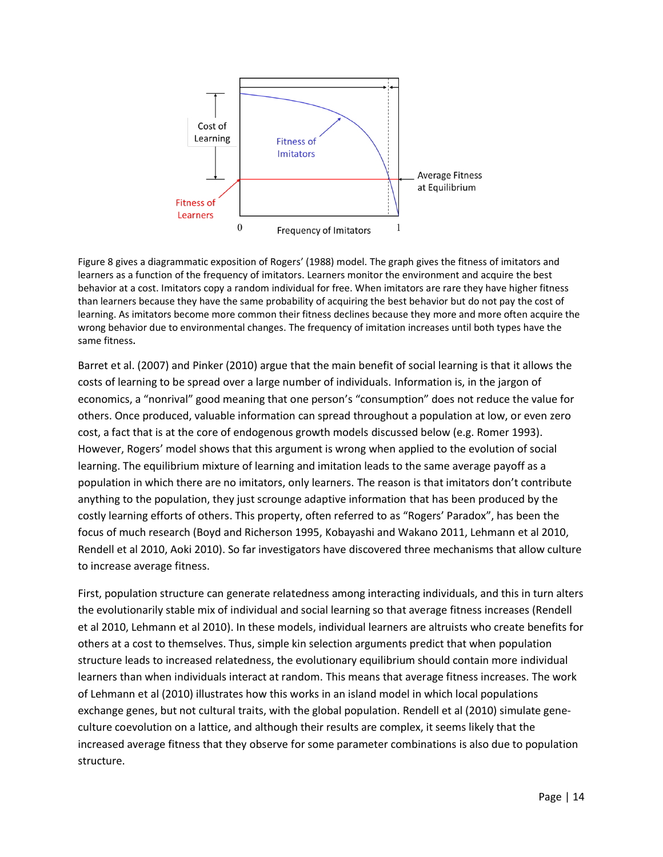

Figure 8 gives a diagrammatic exposition of Rogers' (1988) model. The graph gives the fitness of imitators and learners as a function of the frequency of imitators. Learners monitor the environment and acquire the best behavior at a cost. Imitators copy a random individual for free. When imitators are rare they have higher fitness than learners because they have the same probability of acquiring the best behavior but do not pay the cost of learning. As imitators become more common their fitness declines because they more and more often acquire the wrong behavior due to environmental changes. The frequency of imitation increases until both types have the same fitness**.**

Barret et al. (2007) and Pinker (2010) argue that the main benefit of social learning is that it allows the costs of learning to be spread over a large number of individuals. Information is, in the jargon of economics, a "nonrival" good meaning that one person's "consumption" does not reduce the value for others. Once produced, valuable information can spread throughout a population at low, or even zero cost, a fact that is at the core of endogenous growth models discussed below (e.g. Romer 1993). However, Rogers' model shows that this argument is wrong when applied to the evolution of social learning. The equilibrium mixture of learning and imitation leads to the same average payoff as a population in which there are no imitators, only learners. The reason is that imitators don't contribute anything to the population, they just scrounge adaptive information that has been produced by the costly learning efforts of others. This property, often referred to as "Rogers' Paradox", has been the focus of much research (Boyd and Richerson 1995, Kobayashi and Wakano 2011, Lehmann et al 2010, Rendell et al 2010, Aoki 2010). So far investigators have discovered three mechanisms that allow culture to increase average fitness.

First, population structure can generate relatedness among interacting individuals, and this in turn alters the evolutionarily stable mix of individual and social learning so that average fitness increases (Rendell et al 2010, Lehmann et al 2010). In these models, individual learners are altruists who create benefits for others at a cost to themselves. Thus, simple kin selection arguments predict that when population structure leads to increased relatedness, the evolutionary equilibrium should contain more individual learners than when individuals interact at random. This means that average fitness increases. The work of Lehmann et al (2010) illustrates how this works in an island model in which local populations exchange genes, but not cultural traits, with the global population. Rendell et al (2010) simulate geneculture coevolution on a lattice, and although their results are complex, it seems likely that the increased average fitness that they observe for some parameter combinations is also due to population structure.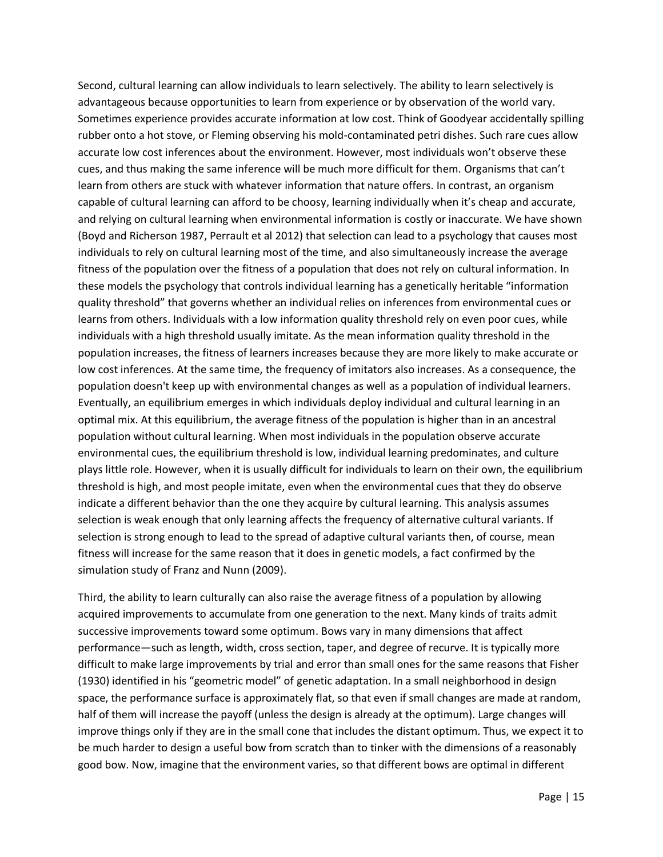Second, cultural learning can allow individuals to learn selectively. The ability to learn selectively is advantageous because opportunities to learn from experience or by observation of the world vary. Sometimes experience provides accurate information at low cost. Think of Goodyear accidentally spilling rubber onto a hot stove, or Fleming observing his mold-contaminated petri dishes. Such rare cues allow accurate low cost inferences about the environment. However, most individuals won't observe these cues, and thus making the same inference will be much more difficult for them. Organisms that can't learn from others are stuck with whatever information that nature offers. In contrast, an organism capable of cultural learning can afford to be choosy, learning individually when it's cheap and accurate, and relying on cultural learning when environmental information is costly or inaccurate. We have shown (Boyd and Richerson 1987, Perrault et al 2012) that selection can lead to a psychology that causes most individuals to rely on cultural learning most of the time, and also simultaneously increase the average fitness of the population over the fitness of a population that does not rely on cultural information. In these models the psychology that controls individual learning has a genetically heritable "information quality threshold" that governs whether an individual relies on inferences from environmental cues or learns from others. Individuals with a low information quality threshold rely on even poor cues, while individuals with a high threshold usually imitate. As the mean information quality threshold in the population increases, the fitness of learners increases because they are more likely to make accurate or low cost inferences. At the same time, the frequency of imitators also increases. As a consequence, the population doesn't keep up with environmental changes as well as a population of individual learners. Eventually, an equilibrium emerges in which individuals deploy individual and cultural learning in an optimal mix. At this equilibrium, the average fitness of the population is higher than in an ancestral population without cultural learning. When most individuals in the population observe accurate environmental cues, the equilibrium threshold is low, individual learning predominates, and culture plays little role. However, when it is usually difficult for individuals to learn on their own, the equilibrium threshold is high, and most people imitate, even when the environmental cues that they do observe indicate a different behavior than the one they acquire by cultural learning. This analysis assumes selection is weak enough that only learning affects the frequency of alternative cultural variants. If selection is strong enough to lead to the spread of adaptive cultural variants then, of course, mean fitness will increase for the same reason that it does in genetic models, a fact confirmed by the simulation study of Franz and Nunn (2009).

Third, the ability to learn culturally can also raise the average fitness of a population by allowing acquired improvements to accumulate from one generation to the next. Many kinds of traits admit successive improvements toward some optimum. Bows vary in many dimensions that affect performance—such as length, width, cross section, taper, and degree of recurve. It is typically more difficult to make large improvements by trial and error than small ones for the same reasons that Fisher (1930) identified in his "geometric model" of genetic adaptation. In a small neighborhood in design space, the performance surface is approximately flat, so that even if small changes are made at random, half of them will increase the payoff (unless the design is already at the optimum). Large changes will improve things only if they are in the small cone that includes the distant optimum. Thus, we expect it to be much harder to design a useful bow from scratch than to tinker with the dimensions of a reasonably good bow. Now, imagine that the environment varies, so that different bows are optimal in different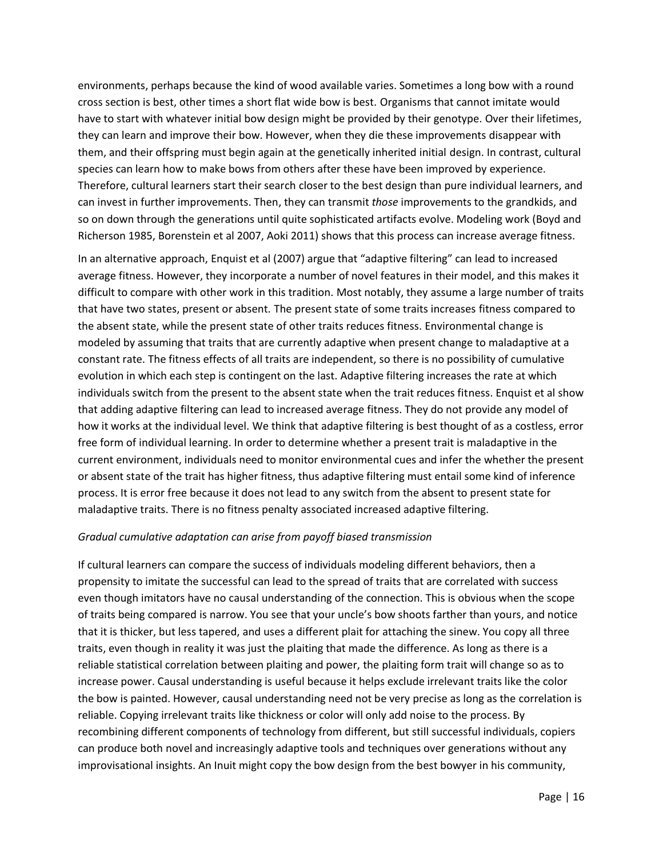environments, perhaps because the kind of wood available varies. Sometimes a long bow with a round cross section is best, other times a short flat wide bow is best. Organisms that cannot imitate would have to start with whatever initial bow design might be provided by their genotype. Over their lifetimes, they can learn and improve their bow. However, when they die these improvements disappear with them, and their offspring must begin again at the genetically inherited initial design. In contrast, cultural species can learn how to make bows from others after these have been improved by experience. Therefore, cultural learners start their search closer to the best design than pure individual learners, and can invest in further improvements. Then, they can transmit *those* improvements to the grandkids, and so on down through the generations until quite sophisticated artifacts evolve. Modeling work (Boyd and Richerson 1985, Borenstein et al 2007, Aoki 2011) shows that this process can increase average fitness.

In an alternative approach, Enquist et al (2007) argue that "adaptive filtering" can lead to increased average fitness. However, they incorporate a number of novel features in their model, and this makes it difficult to compare with other work in this tradition. Most notably, they assume a large number of traits that have two states, present or absent. The present state of some traits increases fitness compared to the absent state, while the present state of other traits reduces fitness. Environmental change is modeled by assuming that traits that are currently adaptive when present change to maladaptive at a constant rate. The fitness effects of all traits are independent, so there is no possibility of cumulative evolution in which each step is contingent on the last. Adaptive filtering increases the rate at which individuals switch from the present to the absent state when the trait reduces fitness. Enquist et al show that adding adaptive filtering can lead to increased average fitness. They do not provide any model of how it works at the individual level. We think that adaptive filtering is best thought of as a costless, error free form of individual learning. In order to determine whether a present trait is maladaptive in the current environment, individuals need to monitor environmental cues and infer the whether the present or absent state of the trait has higher fitness, thus adaptive filtering must entail some kind of inference process. It is error free because it does not lead to any switch from the absent to present state for maladaptive traits. There is no fitness penalty associated increased adaptive filtering.

#### *Gradual cumulative adaptation can arise from payoff biased transmission*

If cultural learners can compare the success of individuals modeling different behaviors, then a propensity to imitate the successful can lead to the spread of traits that are correlated with success even though imitators have no causal understanding of the connection. This is obvious when the scope of traits being compared is narrow. You see that your uncle's bow shoots farther than yours, and notice that it is thicker, but less tapered, and uses a different plait for attaching the sinew. You copy all three traits, even though in reality it was just the plaiting that made the difference. As long as there is a reliable statistical correlation between plaiting and power, the plaiting form trait will change so as to increase power. Causal understanding is useful because it helps exclude irrelevant traits like the color the bow is painted. However, causal understanding need not be very precise as long as the correlation is reliable. Copying irrelevant traits like thickness or color will only add noise to the process. By recombining different components of technology from different, but still successful individuals, copiers can produce both novel and increasingly adaptive tools and techniques over generations without any improvisational insights. An Inuit might copy the bow design from the best bowyer in his community,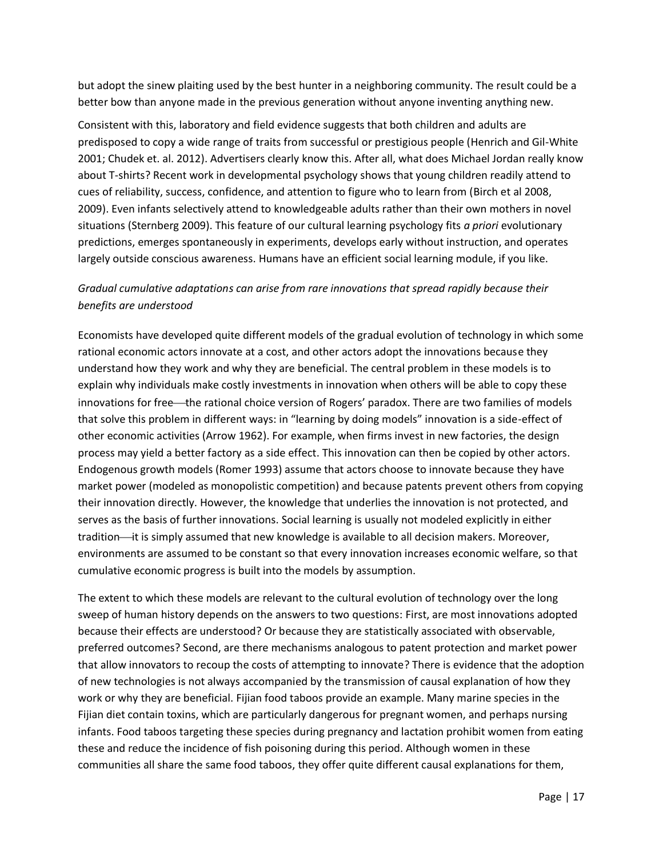but adopt the sinew plaiting used by the best hunter in a neighboring community. The result could be a better bow than anyone made in the previous generation without anyone inventing anything new.

Consistent with this, laboratory and field evidence suggests that both children and adults are predisposed to copy a wide range of traits from successful or prestigious people (Henrich and Gil-White 2001; Chudek et. al. 2012). Advertisers clearly know this. After all, what does Michael Jordan really know about T-shirts? Recent work in developmental psychology shows that young children readily attend to cues of reliability, success, confidence, and attention to figure who to learn from (Birch et al 2008, 2009). Even infants selectively attend to knowledgeable adults rather than their own mothers in novel situations (Sternberg 2009). This feature of our cultural learning psychology fits *a priori* evolutionary predictions, emerges spontaneously in experiments, develops early without instruction, and operates largely outside conscious awareness. Humans have an efficient social learning module, if you like.

## *Gradual cumulative adaptations can arise from rare innovations that spread rapidly because their benefits are understood*

Economists have developed quite different models of the gradual evolution of technology in which some rational economic actors innovate at a cost, and other actors adopt the innovations because they understand how they work and why they are beneficial. The central problem in these models is to explain why individuals make costly investments in innovation when others will be able to copy these innovations for free—the rational choice version of Rogers' paradox. There are two families of models that solve this problem in different ways: in "learning by doing models" innovation is a side-effect of other economic activities (Arrow 1962). For example, when firms invest in new factories, the design process may yield a better factory as a side effect. This innovation can then be copied by other actors. Endogenous growth models (Romer 1993) assume that actors choose to innovate because they have market power (modeled as monopolistic competition) and because patents prevent others from copying their innovation directly. However, the knowledge that underlies the innovation is not protected, and serves as the basis of further innovations. Social learning is usually not modeled explicitly in either tradition—it is simply assumed that new knowledge is available to all decision makers. Moreover, environments are assumed to be constant so that every innovation increases economic welfare, so that cumulative economic progress is built into the models by assumption.

The extent to which these models are relevant to the cultural evolution of technology over the long sweep of human history depends on the answers to two questions: First, are most innovations adopted because their effects are understood? Or because they are statistically associated with observable, preferred outcomes? Second, are there mechanisms analogous to patent protection and market power that allow innovators to recoup the costs of attempting to innovate? There is evidence that the adoption of new technologies is not always accompanied by the transmission of causal explanation of how they work or why they are beneficial. Fijian food taboos provide an example. Many marine species in the Fijian diet contain toxins, which are particularly dangerous for pregnant women, and perhaps nursing infants. Food taboos targeting these species during pregnancy and lactation prohibit women from eating these and reduce the incidence of fish poisoning during this period. Although women in these communities all share the same food taboos, they offer quite different causal explanations for them,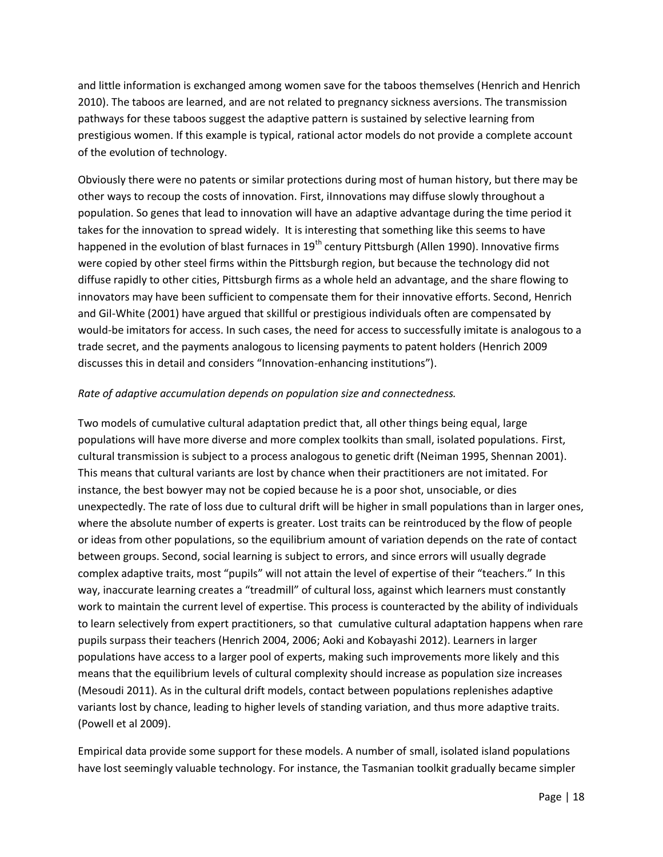and little information is exchanged among women save for the taboos themselves (Henrich and Henrich 2010). The taboos are learned, and are not related to pregnancy sickness aversions. The transmission pathways for these taboos suggest the adaptive pattern is sustained by selective learning from prestigious women. If this example is typical, rational actor models do not provide a complete account of the evolution of technology.

Obviously there were no patents or similar protections during most of human history, but there may be other ways to recoup the costs of innovation. First, iInnovations may diffuse slowly throughout a population. So genes that lead to innovation will have an adaptive advantage during the time period it takes for the innovation to spread widely. It is interesting that something like this seems to have happened in the evolution of blast furnaces in 19<sup>th</sup> century Pittsburgh (Allen 1990). Innovative firms were copied by other steel firms within the Pittsburgh region, but because the technology did not diffuse rapidly to other cities, Pittsburgh firms as a whole held an advantage, and the share flowing to innovators may have been sufficient to compensate them for their innovative efforts. Second, Henrich and Gil-White (2001) have argued that skillful or prestigious individuals often are compensated by would-be imitators for access. In such cases, the need for access to successfully imitate is analogous to a trade secret, and the payments analogous to licensing payments to patent holders (Henrich 2009 discusses this in detail and considers "Innovation-enhancing institutions").

#### *Rate of adaptive accumulation depends on population size and connectedness.*

Two models of cumulative cultural adaptation predict that, all other things being equal, large populations will have more diverse and more complex toolkits than small, isolated populations. First, cultural transmission is subject to a process analogous to genetic drift (Neiman 1995, Shennan 2001). This means that cultural variants are lost by chance when their practitioners are not imitated. For instance, the best bowyer may not be copied because he is a poor shot, unsociable, or dies unexpectedly. The rate of loss due to cultural drift will be higher in small populations than in larger ones, where the absolute number of experts is greater*.* Lost traits can be reintroduced by the flow of people or ideas from other populations, so the equilibrium amount of variation depends on the rate of contact between groups. Second, social learning is subject to errors, and since errors will usually degrade complex adaptive traits, most "pupils" will not attain the level of expertise of their "teachers." In this way, inaccurate learning creates a "treadmill" of cultural loss, against which learners must constantly work to maintain the current level of expertise. This process is counteracted by the ability of individuals to learn selectively from expert practitioners, so that cumulative cultural adaptation happens when rare pupils surpass their teachers (Henrich 2004, 2006; Aoki and Kobayashi 2012). Learners in larger populations have access to a larger pool of experts, making such improvements more likely and this means that the equilibrium levels of cultural complexity should increase as population size increases (Mesoudi 2011). As in the cultural drift models, contact between populations replenishes adaptive variants lost by chance, leading to higher levels of standing variation, and thus more adaptive traits. (Powell et al 2009).

Empirical data provide some support for these models. A number of small, isolated island populations have lost seemingly valuable technology. For instance, the Tasmanian toolkit gradually became simpler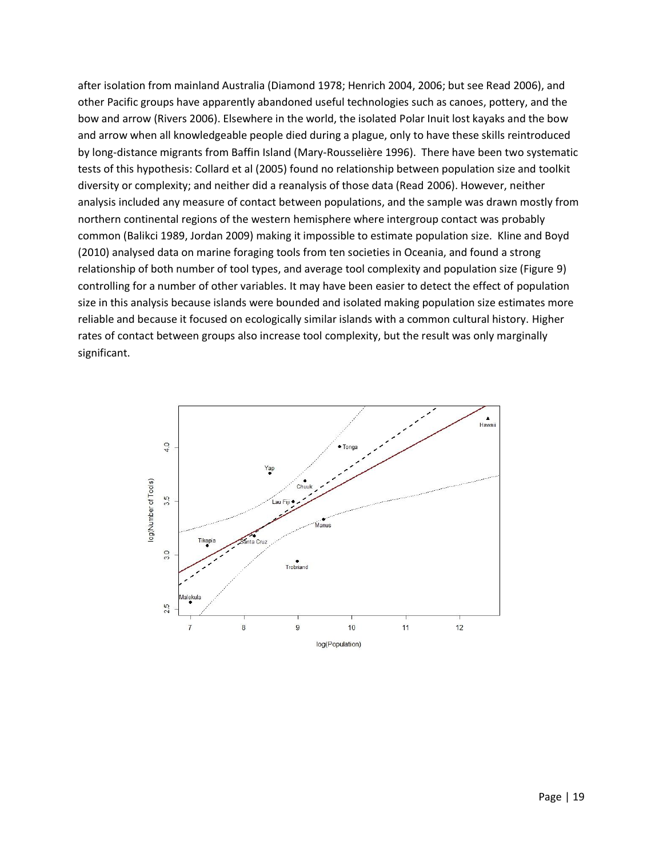after isolation from mainland Australia (Diamond 1978; Henrich 2004, 2006; but see Read 2006), and other Pacific groups have apparently abandoned useful technologies such as canoes, pottery, and the bow and arrow (Rivers 2006). Elsewhere in the world, the isolated Polar Inuit lost kayaks and the bow and arrow when all knowledgeable people died during a plague, only to have these skills reintroduced by long-distance migrants from Baffin Island (Mary-Rousselière 1996). There have been two systematic tests of this hypothesis: Collard et al (2005) found no relationship between population size and toolkit diversity or complexity; and neither did a reanalysis of those data (Read 2006). However, neither analysis included any measure of contact between populations, and the sample was drawn mostly from northern continental regions of the western hemisphere where intergroup contact was probably common (Balikci 1989, Jordan 2009) making it impossible to estimate population size. Kline and Boyd (2010) analysed data on marine foraging tools from ten societies in Oceania, and found a strong relationship of both number of tool types, and average tool complexity and population size (Figure 9) controlling for a number of other variables. It may have been easier to detect the effect of population size in this analysis because islands were bounded and isolated making population size estimates more reliable and because it focused on ecologically similar islands with a common cultural history. Higher rates of contact between groups also increase tool complexity, but the result was only marginally significant.

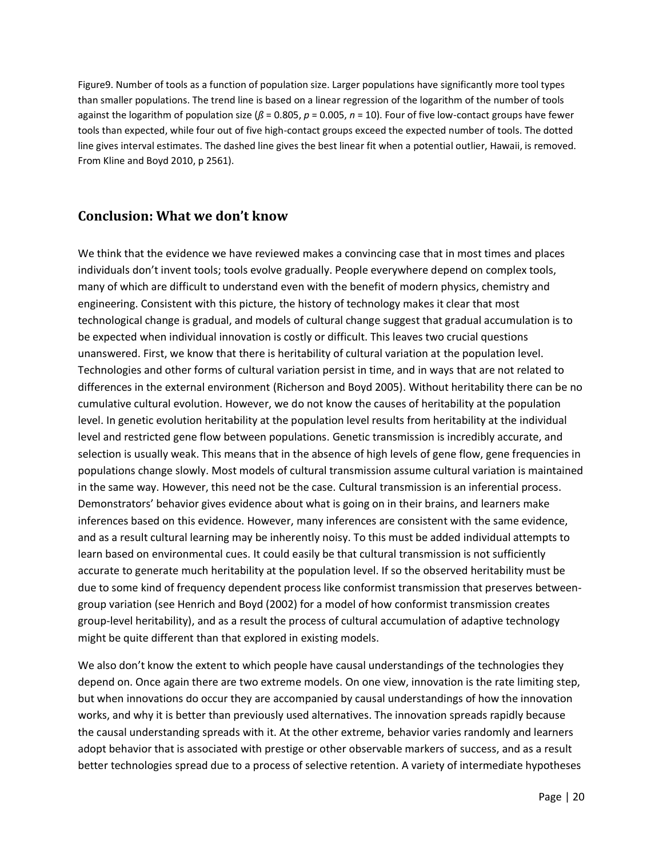Figure9. Number of tools as a function of population size. Larger populations have significantly more tool types than smaller populations. The trend line is based on a linear regression of the logarithm of the number of tools against the logarithm of population size (*ß* = 0.805, *p* = 0.005, *n* = 10). Four of five low-contact groups have fewer tools than expected, while four out of five high-contact groups exceed the expected number of tools. The dotted line gives interval estimates. The dashed line gives the best linear fit when a potential outlier, Hawaii, is removed. From Kline and Boyd 2010, p 2561).

## **Conclusion: What we don't know**

We think that the evidence we have reviewed makes a convincing case that in most times and places individuals don't invent tools; tools evolve gradually. People everywhere depend on complex tools, many of which are difficult to understand even with the benefit of modern physics, chemistry and engineering. Consistent with this picture, the history of technology makes it clear that most technological change is gradual, and models of cultural change suggest that gradual accumulation is to be expected when individual innovation is costly or difficult. This leaves two crucial questions unanswered. First, we know that there is heritability of cultural variation at the population level. Technologies and other forms of cultural variation persist in time, and in ways that are not related to differences in the external environment (Richerson and Boyd 2005). Without heritability there can be no cumulative cultural evolution. However, we do not know the causes of heritability at the population level. In genetic evolution heritability at the population level results from heritability at the individual level and restricted gene flow between populations. Genetic transmission is incredibly accurate, and selection is usually weak. This means that in the absence of high levels of gene flow, gene frequencies in populations change slowly. Most models of cultural transmission assume cultural variation is maintained in the same way. However, this need not be the case. Cultural transmission is an inferential process. Demonstrators' behavior gives evidence about what is going on in their brains, and learners make inferences based on this evidence. However, many inferences are consistent with the same evidence, and as a result cultural learning may be inherently noisy. To this must be added individual attempts to learn based on environmental cues. It could easily be that cultural transmission is not sufficiently accurate to generate much heritability at the population level. If so the observed heritability must be due to some kind of frequency dependent process like conformist transmission that preserves betweengroup variation (see Henrich and Boyd (2002) for a model of how conformist transmission creates group-level heritability), and as a result the process of cultural accumulation of adaptive technology might be quite different than that explored in existing models.

We also don't know the extent to which people have causal understandings of the technologies they depend on. Once again there are two extreme models. On one view, innovation is the rate limiting step, but when innovations do occur they are accompanied by causal understandings of how the innovation works, and why it is better than previously used alternatives. The innovation spreads rapidly because the causal understanding spreads with it. At the other extreme, behavior varies randomly and learners adopt behavior that is associated with prestige or other observable markers of success, and as a result better technologies spread due to a process of selective retention. A variety of intermediate hypotheses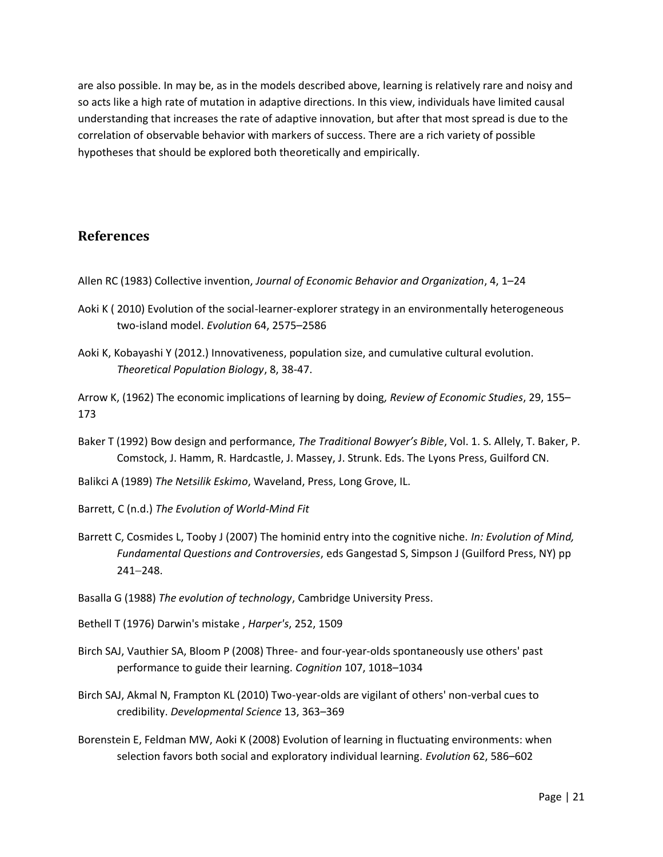are also possible. In may be, as in the models described above, learning is relatively rare and noisy and so acts like a high rate of mutation in adaptive directions. In this view, individuals have limited causal understanding that increases the rate of adaptive innovation, but after that most spread is due to the correlation of observable behavior with markers of success. There are a rich variety of possible hypotheses that should be explored both theoretically and empirically.

## **References**

- Allen RC (1983) Collective invention, *Journal of Economic Behavior and Organization*, 4, 1–24
- Aoki K ( 2010) Evolution of the social-learner-explorer strategy in an environmentally heterogeneous two-island model. *Evolution* 64, 2575–2586
- Aoki K, Kobayashi Y (2012.) Innovativeness, population size, and cumulative cultural evolution. *Theoretical Population Biology*, 8, 38-47.

Arrow K, (1962) The economic implications of learning by doing*, Review of Economic Studies*, 29, 155– 173

- Baker T (1992) Bow design and performance, *The Traditional Bowyer's Bible*, Vol. 1. S. Allely, T. Baker, P. Comstock, J. Hamm, R. Hardcastle, J. Massey, J. Strunk. Eds. The Lyons Press, Guilford CN.
- Balikci A (1989) *The Netsilik Eskimo*, Waveland, Press, Long Grove, IL.
- Barrett, C (n.d.) *The Evolution of World-Mind Fit*
- Barrett C, Cosmides L, Tooby J (2007) The hominid entry into the cognitive niche. *In: Evolution of Mind, Fundamental Questions and Controversies*, eds Gangestad S, Simpson J (Guilford Press, NY) pp  $241 - 248.$

Basalla G (1988) *The evolution of technology*, Cambridge University Press.

- Bethell T (1976) Darwin's mistake , *Harper's*, 252, 1509
- Birch SAJ, Vauthier SA, Bloom P (2008) Three- and four-year-olds spontaneously use others' past performance to guide their learning. *Cognition* 107, 1018–1034
- Birch SAJ, Akmal N, Frampton KL (2010) Two-year-olds are vigilant of others' non-verbal cues to credibility. *Developmental Science* 13, 363–369
- Borenstein E, Feldman MW, Aoki K (2008) Evolution of learning in fluctuating environments: when selection favors both social and exploratory individual learning. *Evolution* 62, 586–602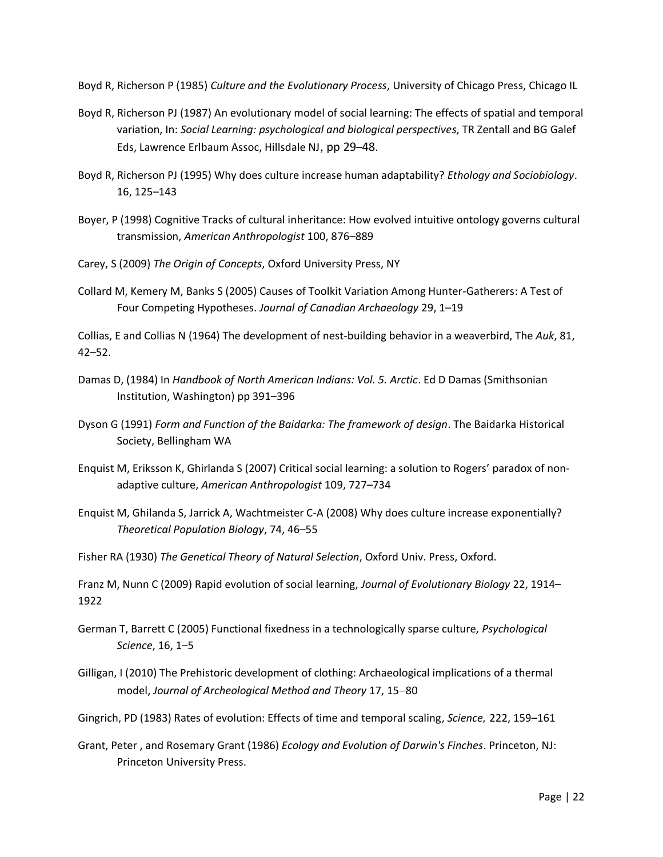Boyd R, Richerson P (1985) *Culture and the Evolutionary Process*, University of Chicago Press, Chicago IL

- Boyd R, Richerson PJ (1987) An evolutionary model of social learning: The effects of spatial and temporal variation, In: *Social Learning: psychological and biological perspectives*, TR Zentall and BG Galef Eds, Lawrence Erlbaum Assoc, Hillsdale NJ, pp 29–48.
- Boyd R, Richerson PJ (1995) Why does culture increase human adaptability? *Ethology and Sociobiology*. 16, 125–143
- Boyer, P (1998) Cognitive Tracks of cultural inheritance: How evolved intuitive ontology governs cultural transmission, *American Anthropologist* 100, 876–889
- Carey, S (2009) *The Origin of Concepts*, Oxford University Press, NY
- Collard M, Kemery M, Banks S (2005) Causes of Toolkit Variation Among Hunter-Gatherers: A Test of Four Competing Hypotheses. *Journal of Canadian Archaeology* 29, 1–19

Collias, E and Collias N (1964) The development of nest-building behavior in a weaverbird, The *Auk*, 81, 42–52.

- Damas D, (1984) In *Handbook of North American Indians: Vol. 5. Arctic*. Ed D Damas (Smithsonian Institution, Washington) pp 391–396
- Dyson G (1991) *Form and Function of the Baidarka: The framework of design*. The Baidarka Historical Society, Bellingham WA
- Enquist M, Eriksson K, Ghirlanda S (2007) Critical social learning: a solution to Rogers' paradox of nonadaptive culture, *American Anthropologist* 109, 727–734
- Enquist M, Ghilanda S, Jarrick A, Wachtmeister C-A (2008) Why does culture increase exponentially? *Theoretical Population Biology*, 74, 46–55

Fisher RA (1930) *The Genetical Theory of Natural Selection*, Oxford Univ. Press, Oxford.

Franz M, Nunn C (2009) Rapid evolution of social learning, *Journal of Evolutionary Biology* 22, 1914– 1922

- German T, Barrett C (2005) Functional fixedness in a technologically sparse culture*, Psychological Science*, 16, 1–5
- Gilligan, I (2010) The Prehistoric development of clothing: Archaeological implications of a thermal model, Journal of Archeological Method and Theory 17, 15-80
- Gingrich, PD (1983) Rates of evolution: Effects of time and temporal scaling, *Science,* 222, 159–161
- Grant, Peter , and Rosemary Grant (1986) *Ecology and Evolution of Darwin's Finches*. Princeton, NJ: Princeton University Press.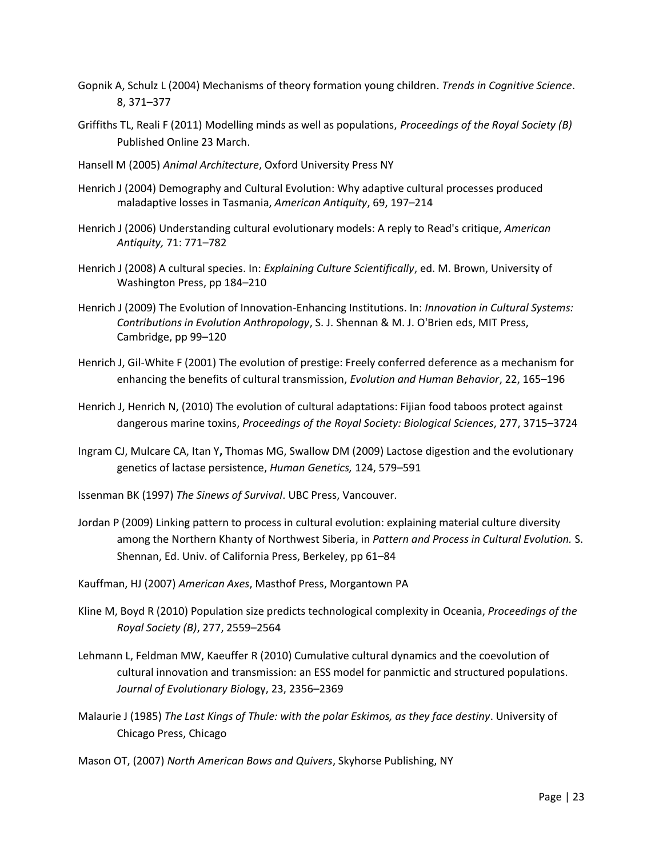- Gopnik A, Schulz L (2004) Mechanisms of theory formation young children. *Trends in Cognitive Science*. 8, 371–377
- Griffiths TL, Reali F (2011) Modelling minds as well as populations, *Proceedings of the Royal Society (B)*  Published Online 23 March.
- Hansell M (2005) *Animal Architecture*, Oxford University Press NY
- <span id="page-22-0"></span>Henrich J (2004) Demography and Cultural Evolution: Why adaptive cultural processes produced maladaptive losses in Tasmania, *American Antiquity*, 69, 197–214
- Henrich J (2006) Understanding cultural evolutionary models: A reply to Read's critique, *American Antiquity,* 71: 771–782
- Henrich J (2008) A cultural species. In: *Explaining Culture Scientifically*, ed. M. Brown, University of Washington Press, pp 184–210
- <span id="page-22-1"></span>Henrich J (2009) The Evolution of Innovation-Enhancing Institutions. In: *Innovation in Cultural Systems: Contributions in Evolution Anthropology*, S. J. Shennan & M. J. O'Brien eds, MIT Press, Cambridge, pp 99–120
- Henrich J, Gil-White F (2001) The evolution of prestige: Freely conferred deference as a mechanism for enhancing the benefits of cultural transmission, *Evolution and Human Behavior*, 22, 165–196
- Henrich J, Henrich N, (2010) The evolution of cultural adaptations: Fijian food taboos protect against dangerous marine toxins, *Proceedings of the Royal Society: Biological Sciences*, 277, 3715–3724
- Ingram CJ, Mulcare CA, Itan Y**,** Thomas MG, Swallow DM (2009) Lactose digestion and the evolutionary genetics of lactase persistence, *Human Genetics,* 124, 579–591
- Issenman BK (1997) *The Sinews of Survival*. UBC Press, Vancouver.
- Jordan P (2009) Linking pattern to process in cultural evolution: explaining material culture diversity among the Northern Khanty of Northwest Siberia, in *Pattern and Process in Cultural Evolution.* S. Shennan, Ed. Univ. of California Press, Berkeley, pp 61–84
- Kauffman, HJ (2007) *American Axes*, Masthof Press, Morgantown PA
- Kline M, Boyd R (2010) Population size predicts technological complexity in Oceania, *Proceedings of the Royal Society (B)*, 277, 2559–2564
- Lehmann L, Feldman MW, Kaeuffer R (2010) Cumulative cultural dynamics and the coevolution of cultural innovation and transmission: an ESS model for panmictic and structured populations. *Journal of Evolutionary Biol*ogy, 23, 2356–2369
- Malaurie J (1985) *The Last Kings of Thule: with the polar Eskimos, as they face destiny*. University of Chicago Press, Chicago
- Mason OT, (2007) *North American Bows and Quivers*, Skyhorse Publishing, NY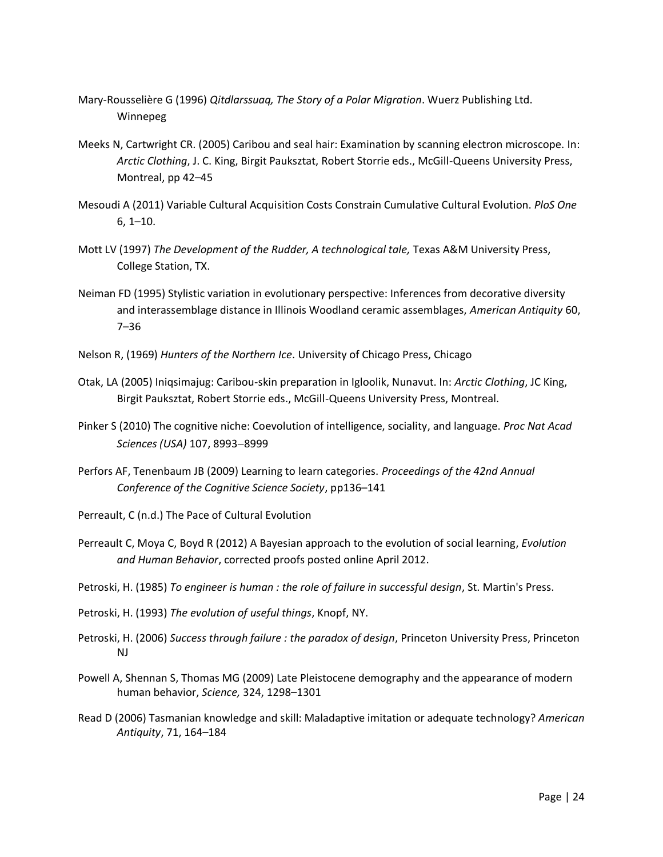- Mary-Rousselière G (1996) *Qitdlarssuaq, The Story of a Polar Migration*. Wuerz Publishing Ltd. Winnepeg
- Meeks N, Cartwright CR. (2005) Caribou and seal hair: Examination by scanning electron microscope. In: *Arctic Clothing*, J. C. King, Birgit Pauksztat, Robert Storrie eds., McGill-Queens University Press, Montreal, pp 42–45
- Mesoudi A (2011) Variable Cultural Acquisition Costs Constrain Cumulative Cultural Evolution. *PloS One* 6, 1–10.
- Mott LV (1997) *The Development of the Rudder, A technological tale,* Texas A&M University Press, College Station, TX.
- Neiman FD (1995) Stylistic variation in evolutionary perspective: Inferences from decorative diversity and interassemblage distance in Illinois Woodland ceramic assemblages, *American Antiquity* 60, 7–36
- Nelson R, (1969) *Hunters of the Northern Ice*. University of Chicago Press, Chicago
- Otak, LA (2005) Iniqsimajug: Caribou-skin preparation in Igloolik, Nunavut. In: *Arctic Clothing*, JC King, Birgit Pauksztat, Robert Storrie eds., McGill-Queens University Press, Montreal.
- Pinker S (2010) The cognitive niche: Coevolution of intelligence, sociality, and language. *Proc Nat Acad Sciences (USA)* 107, 8993-8999
- Perfors AF, Tenenbaum JB (2009) Learning to learn categories. *Proceedings of the 42nd Annual Conference of the Cognitive Science Society*, pp136–141
- Perreault, C (n.d.) The Pace of Cultural Evolution
- Perreault C, Moya C, Boyd R (2012) A Bayesian approach to the evolution of social learning, *Evolution and Human Behavior*, corrected proofs posted online April 2012.
- <span id="page-23-0"></span>Petroski, H. (1985) *To engineer is human : the role of failure in successful design*, St. Martin's Press.
- <span id="page-23-1"></span>Petroski, H. (1993) *The evolution of useful things*, Knopf, NY.
- <span id="page-23-2"></span>Petroski, H. (2006) *Success through failure : the paradox of design*, Princeton University Press, Princeton NJ
- Powell A, Shennan S, Thomas MG (2009) Late Pleistocene demography and the appearance of modern human behavior, *Science,* 324, 1298–1301
- Read D (2006) Tasmanian knowledge and skill: Maladaptive imitation or adequate technology? *American Antiquity*, 71, 164–184